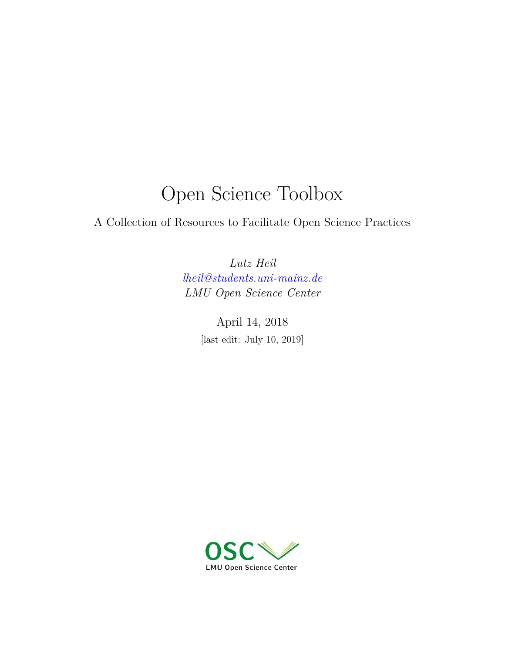# Open Science Toolbox

A Collection of Resources to Facilitate Open Science Practices

*Lutz Heil [lheil@students.uni-mainz.de](mailto:lheil@students.uni-mainz.de) LMU Open Science Center*

> April 14, 2018 [last edit: July 10, 2019]

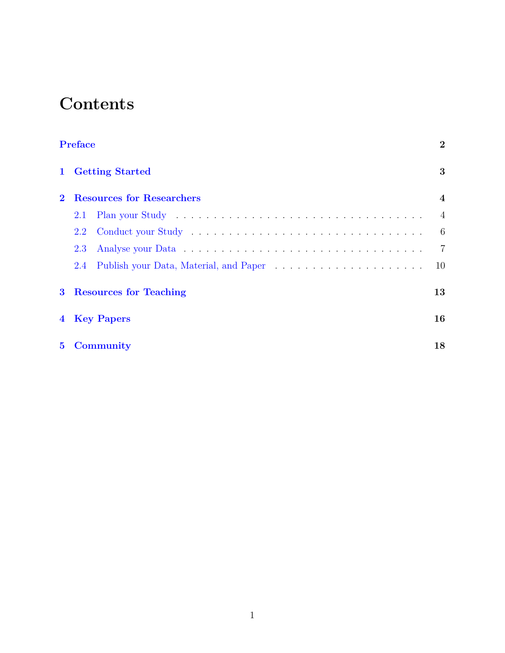# **Contents**

|                | <b>Preface</b>                   | $\mathbf{2}$   |
|----------------|----------------------------------|----------------|
| $\mathbf{1}$   | <b>Getting Started</b>           | 3              |
|                | <b>Resources for Researchers</b> | $\overline{4}$ |
|                | 2.1                              | $\overline{4}$ |
|                | 2.2                              | -6             |
|                | 2.3                              | $\overline{7}$ |
|                | 2.4                              | 10             |
| 3 <sup>1</sup> | <b>Resources for Teaching</b>    | 13             |
|                | 4 Key Papers                     | 16             |
| $5^{\circ}$    | Community                        | 18             |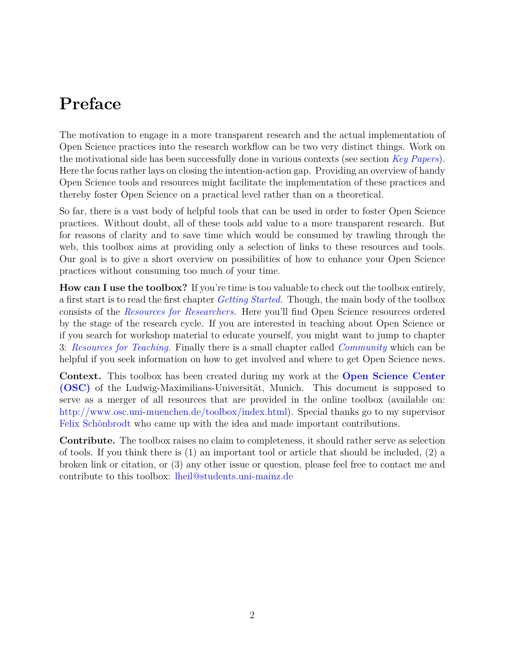# <span id="page-2-0"></span>**Preface**

The motivation to engage in a more transparent research and the actual implementation of Open Science practices into the research workflow can be two very distinct things. Work on the motivational side has been successfully done in various contexts (see section *[Key Papers](#page-15-0)*). Here the focus rather lays on closing the intention-action gap. Providing an overview of handy Open Science tools and resources might facilitate the implementation of these practices and thereby foster Open Science on a practical level rather than on a theoretical.

So far, there is a vast body of helpful tools that can be used in order to foster Open Science practices. Without doubt, all of these tools add value to a more transparent research. But for reasons of clarity and to save time which would be consumed by trawling through the web, this toolbox aims at providing only a selection of links to these resources and tools. Our goal is to give a short overview on possibilities of how to enhance your Open Science practices without consuming too much of your time.

**How can I use the toolbox?** If you're time is too valuable to check out the toolbox entirely, a first start is to read the first chapter *[Getting Started](#page-2-1)*. Though, the main body of the toolbox consists of the *[Resources for Researchers](#page-3-1)*. Here you'll find Open Science resources ordered by the stage of the research cycle. If you are interested in teaching about Open Science or if you search for workshop material to educate yourself, you might want to jump to chapter 3: *[Resources for Teaching](#page-12-0)*. Finally there is a small chapter called *[Community](#page-17-0)* which can be helpful if you seek information on how to get involved and where to get Open Science news.

**Context.** This toolbox has been created during my work at the **[Open Science Center](http://www.osc.uni-muenchen.de/index.html) [\(OSC\)](http://www.osc.uni-muenchen.de/index.html)** of the Ludwig-Maximilians-Universität, Munich. This document is supposed to serve as a merger of all resources that are provided in the online toolbox (available on: <http://www.osc.uni-muenchen.de/toolbox/index.html>). Special thanks go to my supervisor [Felix Schönbrodt](http://www.osc.uni-muenchen.de/members/individual-members/schoenbrodt/index.html) who came up with the idea and made important contributions.

<span id="page-2-1"></span>**Contribute.** The toolbox raises no claim to completeness, it should rather serve as selection of tools. If you think there is  $(1)$  an important tool or article that should be included,  $(2)$  a broken link or citation, or (3) any other issue or question, please feel free to contact me and contribute to this toolbox: [lheil@students.uni-mainz.de](mailto:lheil@students.uni-mainz.de)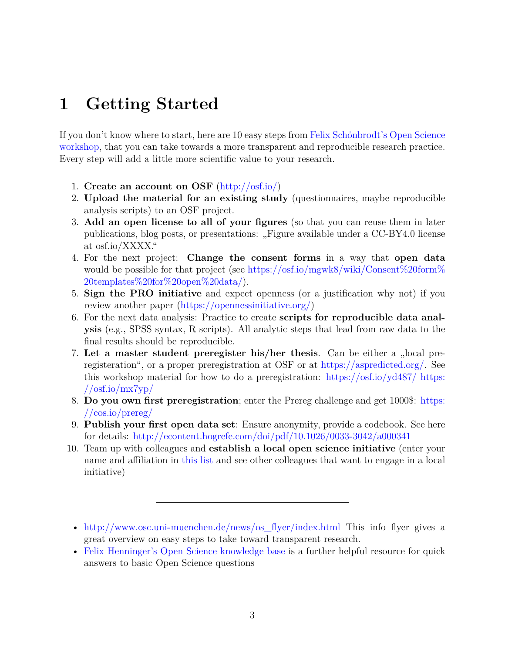# <span id="page-3-0"></span>**1 Getting Started**

If you don't know where to start, here are 10 easy steps from [Felix Schönbrodt's Open Science](https://osf.io/hjx5p/) [workshop](https://osf.io/hjx5p/), that you can take towards a more transparent and reproducible research practice. Every step will add a little more scientific value to your research.

- 1. **Create an account on OSF** (<http://osf.io/>)
- 2. **Upload the material for an existing study** (questionnaires, maybe reproducible analysis scripts) to an OSF project.
- 3. **Add an open license to all of your figures** (so that you can reuse them in later publications, blog posts, or presentations: "Figure available under a CC-BY4.0 license at osf.io/XXXX."
- 4. For the next project: **Change the consent forms** in a way that **open data** would be possible for that project (see [https://osf.io/mgwk8/wiki/Consent%20form%](https://osf.io/mgwk8/wiki/Consent%20form%20templates%20for%20open%20data/) [20templates%20for%20open%20data/](https://osf.io/mgwk8/wiki/Consent%20form%20templates%20for%20open%20data/)).
- 5. **Sign the PRO initiative** and expect openness (or a justification why not) if you review another paper ([https://opennessinitiative.org/\)](https://opennessinitiative.org/)
- 6. For the next data analysis: Practice to create **scripts for reproducible data analysis** (e.g., SPSS syntax, R scripts). All analytic steps that lead from raw data to the final results should be reproducible.
- 7. Let a master student preregister his/her thesis. Can be either a "local preregisteration", or a proper preregistration at OSF or at <https://aspredicted.org/>. See this workshop material for how to do a preregistration: <https://osf.io/yd487/> [https:](https://osf.io/mx7yp/)  $//$ osf.io/mx7yp/
- 8. **Do you own first preregistration**; enter the Prereg challenge and get 1000\$: [https:](https://cos.io/prereg/) [//cos.io/prereg/](https://cos.io/prereg/)
- 9. **Publish your first open data set**: Ensure anonymity, provide a codebook. See here for details: <http://econtent.hogrefe.com/doi/pdf/10.1026/0033-3042/a000341>
- 10. Team up with colleagues and **establish a local open science initiative** (enter your name and affiliation in [this list](https://osf.io/tbkzh/wiki/Wer%20macht%20bei%20meiner%20Uni%20mit%3F/) and see other colleagues that want to engage in a local initiative)

<sup>•</sup> [http://www.osc.uni-muenchen.de/news/os\\_flyer/index.html](http://www.osc.uni-muenchen.de/news/os_flyer/index.html) This info flyer gives a great overview on easy steps to take toward transparent research.

<span id="page-3-1"></span><sup>•</sup> [Felix Henninger's Open Science knowledge base](https://felixhenninger.gitbooks.io/open-science-knowledge-base/content/) is a further helpful resource for quick answers to basic Open Science questions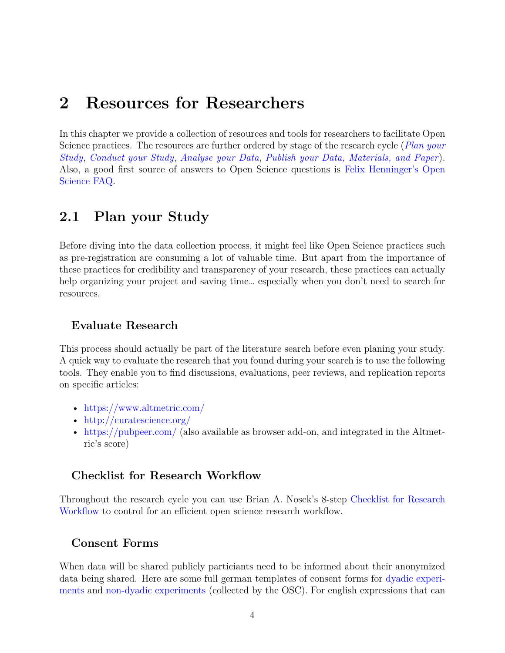## <span id="page-4-0"></span>**2 Resources for Researchers**

In this chapter we provide a collection of resources and tools for researchers to facilitate Open Science practices. The resources are further ordered by stage of the research cycle (*[Plan your](#page-4-1) [Study](#page-4-1)*, *[Conduct your Study](#page-6-0)*, *[Analyse your Data](#page-7-0)*, *[Publish your Data, Materials, and Paper](#page-9-0)*). Also, a good first source of answers to Open Science questions is [Felix Henninger's Open](https://felixhenninger.gitbooks.io/open-science-knowledge-base/content/) [Science FAQ.](https://felixhenninger.gitbooks.io/open-science-knowledge-base/content/)

## <span id="page-4-1"></span>**2.1 Plan your Study**

Before diving into the data collection process, it might feel like Open Science practices such as pre-registration are consuming a lot of valuable time. But apart from the importance of these practices for credibility and transparency of your research, these practices can actually help organizing your project and saving time... especially when you don't need to search for resources.

#### **Evaluate Research**

This process should actually be part of the literature search before even planing your study. A quick way to evaluate the research that you found during your search is to use the following tools. They enable you to find discussions, evaluations, peer reviews, and replication reports on specific articles:

- <https://www.altmetric.com/>
- <http://curatescience.org/>
- <https://pubpeer.com/> (also available as browser add-on, and integrated in the Altmetric's score)

#### **Checklist for Research Workflow**

Throughout the research cycle you can use Brian A. Nosek's 8-step [Checklist for Research](https://osf.io/mv8pj/wiki/home/) [Workflow](https://osf.io/mv8pj/wiki/home/) to control for an efficient open science research workflow.

#### **Consent Forms**

When data will be shared publicly particiants need to be informed about their anonymized data being shared. Here are some full german templates of consent forms for [dyadic experi](https://osf.io/3d5xb/)[ments](https://osf.io/3d5xb/) and [non-dyadic experiments](https://osf.io/kv37u/) (collected by the OSC). For english expressions that can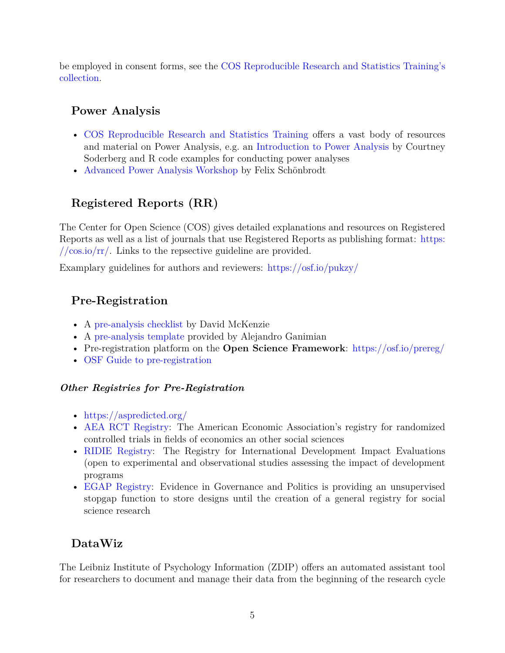be employed in consent forms, see the [COS Reproducible Research and Statistics Training's](https://osf.io/g4jfv/wiki/home/) [collection](https://osf.io/g4jfv/wiki/home/).

## **Power Analysis**

- [COS Reproducible Research and Statistics Training](https://osf.io/adkj4/) offers a vast body of resources and material on Power Analysis, e.g. an [Introduction to Power Analysis](https://osf.io/asf53/) by Courtney Soderberg and R code examples for conducting power analyses
- [Advanced Power Analysis Workshop](https://osf.io/d76gc/) by Felix Schönbrodt

## **Registered Reports (RR)**

The Center for Open Science (COS) gives detailed explanations and resources on Registered Reports as well as a list of journals that use Registered Reports as publishing format: [https:](https://cos.io/rr/)  $// \cos.io/rr/$ . Links to the repsective guideline are provided.

Examplary guidelines for authors and reviewers: <https://osf.io/pukzy/>

## **Pre-Registration**

- A [pre-analysis checklist](http://blogs.worldbank.org/impactevaluations/a-pre-analysis-plan-checklist) by David McKenzie
- A [pre-analysis template](http://cega.berkeley.edu/assets/cega_events/92/Pre-Analysis_Plan_Template_Alejandro_Ganimian.pdf) provided by Alejandro Ganimian
- Pre-registration platform on the **Open Science Framework**: <https://osf.io/prereg/>
- [OSF Guide to pre-registration](http://help.osf.io/m/registrations/l/546603-enter-the-preregistration-challenge)

#### *Other Registries for Pre-Registration*

- <https://aspredicted.org/>
- [AEA RCT Registry:](https://www.socialscienceregistry.org/) The American Economic Association's registry for randomized controlled trials in fields of economics an other social sciences
- [RIDIE Registry:](http://ridie.3ieimpact.org/) The Registry for International Development Impact Evaluations (open to experimental and observational studies assessing the impact of development programs
- [EGAP Registry:](http://egap.org/content/registration) Evidence in Governance and Politics is providing an unsupervised stopgap function to store designs until the creation of a general registry for social science research

## **DataWiz**

The Leibniz Institute of Psychology Information (ZDIP) offers an automated assistant tool for researchers to document and manage their data from the beginning of the research cycle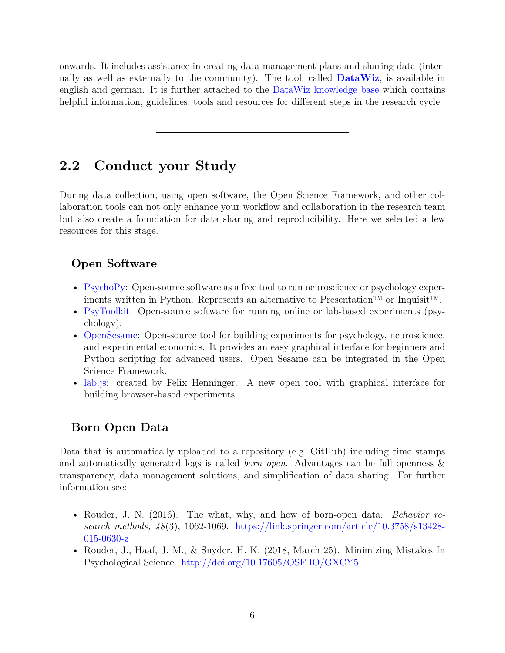onwards. It includes assistance in creating data management plans and sharing data (internally as well as externally to the community). The tool, called **[DataWiz](https://datawiz.leibniz-psychology.org/DataWiz/)**, is available in english and german. It is further attached to the [DataWiz knowledge base](https://datawizkb.leibniz-psychology.org/) which contains helpful information, guidelines, tools and resources for different steps in the research cycle

## <span id="page-6-0"></span>**2.2 Conduct your Study**

During data collection, using open software, the Open Science Framework, and other collaboration tools can not only enhance your workflow and collaboration in the research team but also create a foundation for data sharing and reproducibility. Here we selected a few resources for this stage.

## **Open Software**

- [PsychoPy](http://www.psychopy.org/): Open-source software as a free tool to run neuroscience or psychology experiments written in Python. Represents an alternative to Presentation™ or Inquisit™.
- [PsyToolkit](https://www.psytoolkit.org/): Open-source software for running online or lab-based experiments (psychology).
- [OpenSesame:](http://osdoc.cogsci.nl/) Open-source tool for building experiments for psychology, neuroscience, and experimental economics. It provides an easy graphical interface for beginners and Python scripting for advanced users. Open Sesame can be integrated in the Open Science Framework.
- [lab.js:](https://labjs.felixhenninger.com/) created by Felix Henninger. A new open tool with graphical interface for building browser-based experiments.

## **Born Open Data**

Data that is automatically uploaded to a repository (e.g. GitHub) including time stamps and automatically generated logs is called *born open*. Advantages can be full openness & transparency, data management solutions, and simplification of data sharing. For further information see:

- Rouder, J. N. (2016). The what, why, and how of born-open data. *Behavior research methods, 48*(3), 1062-1069. [https://link.springer.com/article/10.3758/s13428-](https://link.springer.com/content/pdf/10.3758%2Fs13428-015-0630-z.pdf) [015-0630-z](https://link.springer.com/content/pdf/10.3758%2Fs13428-015-0630-z.pdf)
- Rouder, J., Haaf, J. M., & Snyder, H. K. (2018, March 25). Minimizing Mistakes In Psychological Science. <http://doi.org/10.17605/OSF.IO/GXCY5>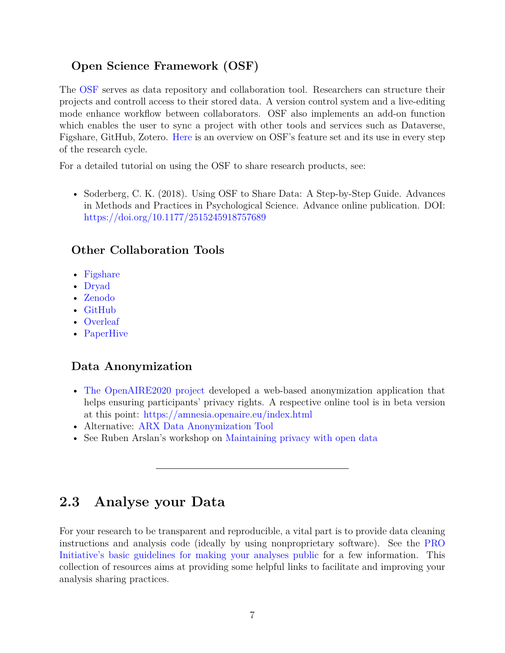## **Open Science Framework (OSF)**

The [OSF](https://osf.io/) serves as data repository and collaboration tool. Researchers can structure their projects and controll access to their stored data. A version control system and a live-editing mode enhance workflow between collaborators. OSF also implements an add-on function which enables the user to sync a project with other tools and services such as Dataverse, Figshare, GitHub, Zotero. [Here](https://cos.io/our-products/osf/) is an overview on OSF's feature set and its use in every step of the research cycle.

For a detailed tutorial on using the OSF to share research products, see:

• Soderberg, C. K. (2018). Using OSF to Share Data: A Step-by-Step Guide. Advances in Methods and Practices in Psychological Science. Advance online publication. DOI: <https://doi.org/10.1177/2515245918757689>

## **Other Collaboration Tools**

- [Figshare](https://figshare.com/)
- [Dryad](https://datadryad.org/)
- [Zenodo](https://zenodo.org/)
- [GitHub](https://www.github.com)
- [Overleaf](https://www.overleaf.com/)
- [PaperHive](https://paperhive.org/)

## **Data Anonymization**

- [The OpenAIRE2020 project](https://www.openaire.eu/) developed a web-based anonymization application that helps ensuring participants' privacy rights. A respective online tool is in beta version at this point: <https://amnesia.openaire.eu/index.html>
- Alternative: [ARX Data Anonymization Tool](http://arx.deidentifier.org/)
- See Ruben Arslan's workshop on [Maintaining privacy with open data](https://osf.io/9j27d/)

## <span id="page-7-0"></span>**2.3 Analyse your Data**

For your research to be transparent and reproducible, a vital part is to provide data cleaning instructions and analysis code (ideally by using nonproprietary software). See the [PRO](https://opennessinitiative.org/making-your-analyses-public/) [Initiative's basic guidelines for making your analyses public](https://opennessinitiative.org/making-your-analyses-public/) for a few information. This collection of resources aims at providing some helpful links to facilitate and improving your analysis sharing practices.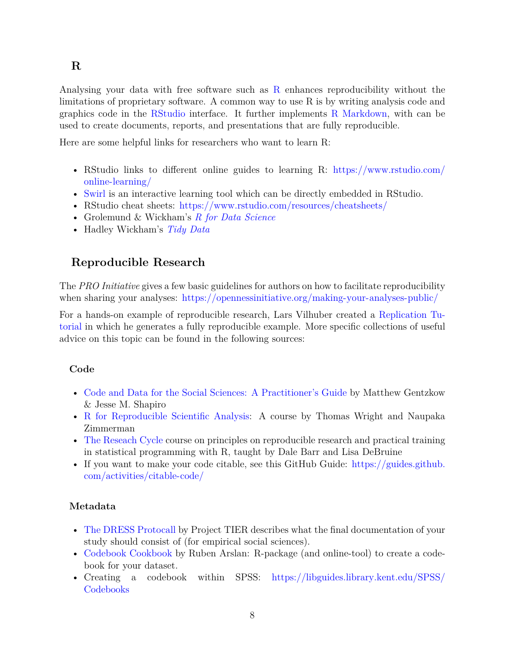#### **R**

Analysing your data with free software such as [R](https://www.r-project.org/) enhances reproducibility without the limitations of proprietary software. A common way to use R is by writing analysis code and graphics code in the [RStudio](https://www.rstudio.com/) interface. It further implements [R Markdown,](https://rmarkdown.rstudio.com/) with can be used to create documents, reports, and presentations that are fully reproducible.

Here are some helpful links for researchers who want to learn R:

- RStudio links to different online guides to learning R: [https://www.rstudio.com/](https://www.rstudio.com/online-learning/) [online-learning/](https://www.rstudio.com/online-learning/)
- [Swirl](http://swirlstats.com/) is an interactive learning tool which can be directly embedded in RStudio.
- RStudio cheat sheets: <https://www.rstudio.com/resources/cheatsheets/>
- Grolemund & Wickham's *[R for Data Science](http://r4ds.had.co.nz/)*
- Hadley Wickham's *[Tidy Data](http://vita.had.co.nz/papers/tidy-data.pdf)*

## <span id="page-8-0"></span>**Reproducible Research**

The *PRO Initiative* gives a few basic guidelines for authors on how to facilitate reproducibility when sharing your analyses: <https://opennessinitiative.org/making-your-analyses-public/>

For a hands-on example of reproducible research, Lars Vilhuber created a [Replication Tu](https://labordynamicsinstitute.github.io/replication-tutorial-2019/#/)[torial](https://labordynamicsinstitute.github.io/replication-tutorial-2019/#/) in which he generates a fully reproducible example. More specific collections of useful advice on this topic can be found in the following sources:

#### **Code**

- [Code and Data for the Social Sciences: A Practitioner's Guide](http://home.bi.no/charlotte.ostergaard/students/CodeAndData.pdf) by Matthew Gentzkow & Jesse M. Shapiro
- [R for Reproducible Scientific Analysis](http://swcarpentry.github.io/r-novice-gapminder/): A course by Thomas Wright and Naupaka Zimmerman
- [The Reseach Cycle](https://gupsych.github.io/research_cycle/) course on principles on reproducible research and practical training in statistical programming with R, taught by Dale Barr and Lisa DeBruine
- If you want to make your code citable, see this GitHub Guide: [https://guides.github.](https://guides.github.com/activities/citable-code/) [com/activities/citable-code/](https://guides.github.com/activities/citable-code/)

#### **Metadata**

- [The DRESS Protocall](https://www.projecttier.org/tier-protocol/dress-protocol/) by Project TIER describes what the final documentation of your study should consist of (for empirical social sciences).
- [Codebook Cookbook](https://rubenarslan.github.io/codebook/) by Ruben Arslan: R-package (and online-tool) to create a codebook for your dataset.
- Creating a codebook within SPSS: [https://libguides.library.kent.edu/SPSS/](https://libguides.library.kent.edu/SPSS/Codebooks) [Codebooks](https://libguides.library.kent.edu/SPSS/Codebooks)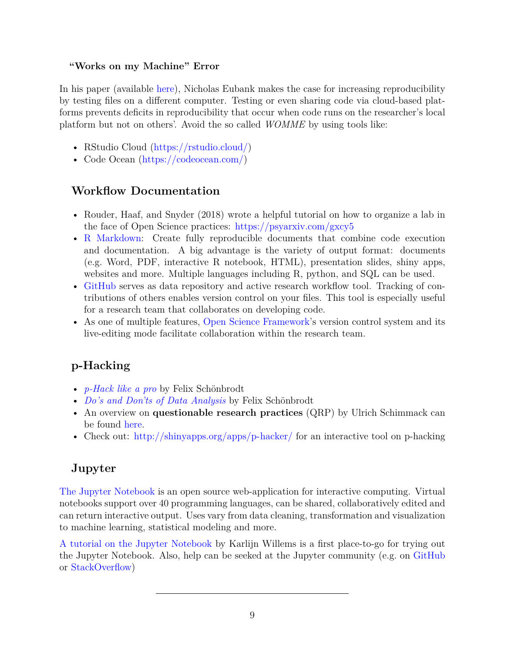#### **"Works on my Machine" Error**

In his paper (available [here](https://doi.org/10.1017/S1049096516000196)), Nicholas Eubank makes the case for increasing reproducibility by testing files on a different computer. Testing or even sharing code via cloud-based platforms prevents deficits in reproducibility that occur when code runs on the researcher's local platform but not on others'. Avoid the so called *WOMME* by using tools like:

- RStudio Cloud ([https://rstudio.cloud/\)](https://rstudio.cloud/)
- Code Ocean [\(https://codeocean.com/](https://codeocean.com/))

## **Workflow Documentation**

- Rouder, Haaf, and Snyder (2018) wrote a helpful tutorial on how to organize a lab in the face of Open Science practices: <https://psyarxiv.com/gxcy5>
- [R Markdown](https://rmarkdown.rstudio.com/): Create fully reproducible documents that combine code execution and documentation. A big advantage is the variety of output format: documents (e.g. Word, PDF, interactive R notebook, HTML), presentation slides, shiny apps, websites and more. Multiple languages including R, python, and SQL can be used.
- [GitHub](https://github.com) serves as data repository and active research workflow tool. Tracking of contributions of others enables version control on your files. This tool is especially useful for a research team that collaborates on developing code.
- As one of multiple features, [Open Science Framework'](https://osf.io)s version control system and its live-editing mode facilitate collaboration within the research team.

## **p-Hacking**

- *[p-Hack like a pro](https://osf.io/u4jgz/)* by Felix Schönbrodt
- *[Do's and Don'ts of Data Analysis](https://osf.io/9fx5q/)* by Felix Schönbrodt
- An overview on **questionable research practices** (QRP) by Ulrich Schimmack can be found [here](https://replicationindex.wordpress.com/2015/01/24/questionable-research-practices-definition-detect-and-recommendations-for-better-practices/).
- Check out: <http://shinyapps.org/apps/p-hacker/> for an interactive tool on p-hacking

## **Jupyter**

[The Jupyter Notebook](https://jupyter.org/) is an open source web-application for interactive computing. Virtual notebooks support over 40 programming languages, can be shared, collaboratively edited and can return interactive output. Uses vary from data cleaning, transformation and visualization to machine learning, statistical modeling and more.

<span id="page-9-0"></span>[A tutorial on the Jupyter Notebook](https://www.datacamp.com/community/tutorials/tutorial-jupyter-notebook) by Karlijn Willems is a first place-to-go for trying out the Jupyter Notebook. Also, help can be seeked at the Jupyter community (e.g. on [GitHub](https://github.com/jupyter/help) or [StackOverflow\)](https://stackoverflow.com/questions/tagged/jupyter)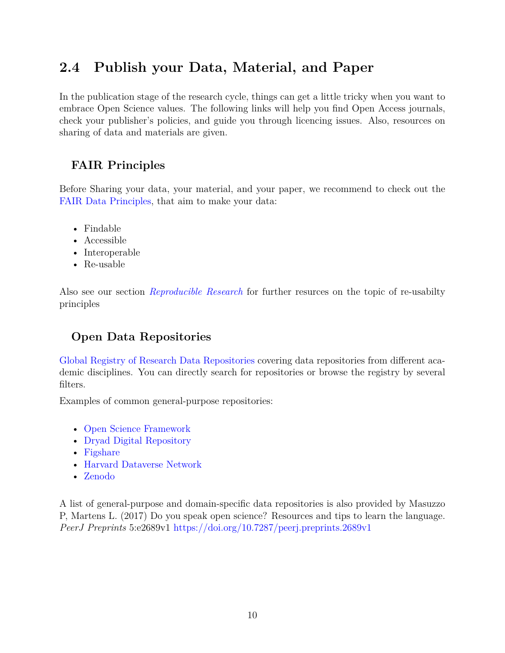## **2.4 Publish your Data, Material, and Paper**

In the publication stage of the research cycle, things can get a little tricky when you want to embrace Open Science values. The following links will help you find Open Access journals, check your publisher's policies, and guide you through licencing issues. Also, resources on sharing of data and materials are given.

## **FAIR Principles**

Before Sharing your data, your material, and your paper, we recommend to check out the [FAIR Data Principles](https://www.force11.org/group/fairgroup/fairprinciples), that aim to make your data:

- Findable
- Accessible
- Interoperable
- Re-usable

Also see our section *[Reproducible Research](#page-8-0)* for further resurces on the topic of re-usabilty principles

## **Open Data Repositories**

[Global Registry of Research Data Repositories](https://www.re3data.org/) covering data repositories from different academic disciplines. You can directly search for repositories or browse the registry by several filters.

Examples of common general-purpose repositories:

- [Open Science Framework](https://osf.io/)
- [Dryad Digital Repository](https://datadryad.org/)
- [Figshare](https://figshare.com/)
- [Harvard Dataverse Network](https://dataverse.harvard.edu/)
- [Zenodo](https://zenodo.org/)

A list of general-purpose and domain-specific data repositories is also provided by Masuzzo P, Martens L. (2017) Do you speak open science? Resources and tips to learn the language. *PeerJ Preprints* 5:e2689v1 <https://doi.org/10.7287/peerj.preprints.2689v1>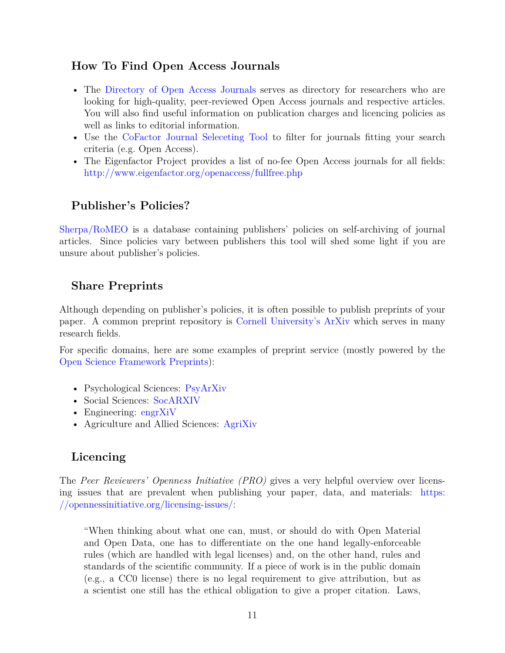#### **How To Find Open Access Journals**

- The [Directory of Open Access Journals](https://doaj.org/) serves as directory for researchers who are looking for high-quality, peer-reviewed Open Access journals and respective articles. You will also find useful information on publication charges and licencing policies as well as links to editorial information.
- Use the [CoFactor Journal Seleceting Tool](http://cofactorscience.com/journal-selector) to filter for journals fitting your search criteria (e.g. Open Access).
- The Eigenfactor Project provides a list of no-fee Open Access journals for all fields: <http://www.eigenfactor.org/openaccess/fullfree.php>

## **Publisher's Policies?**

[Sherpa/RoMEO](http://www.sherpa.ac.uk/romeo/index.php) is a database containing publishers' policies on self-archiving of journal articles. Since policies vary between publishers this tool will shed some light if you are unsure about publisher's policies.

## **Share Preprints**

Although depending on publisher's policies, it is often possible to publish preprints of your paper. A common preprint repository is [Cornell University's ArXiv](https://ArXiv.org) which serves in many research fields.

For specific domains, here are some examples of preprint service (mostly powered by the [Open Science Framework Preprints\)](https://osf.io/preprints/):

- Psychological Sciences: [PsyArXiv](https://osf.io/preprints/psyarxiv/)
- Social Sciences: [SocARXIV](https://osf.io/preprints/socarxiv)
- Engineering: [engrXiV](https://osf.io/preprints/engrxiv)
- Agriculture and Allied Sciences: [AgriXiv](https://osf.io/preprints/agrixiv)

## **Licencing**

The *Peer Reviewers' Openness Initiative (PRO)* gives a very helpful overview over licensing issues that are prevalent when publishing your paper, data, and materials: [https:](https://opennessinitiative.org/licensing-issues/) [//opennessinitiative.org/licensing-issues/:](https://opennessinitiative.org/licensing-issues/)

"When thinking about what one can, must, or should do with Open Material and Open Data, one has to differentiate on the one hand legally-enforceable rules (which are handled with legal licenses) and, on the other hand, rules and standards of the scientific community. If a piece of work is in the public domain (e.g., a CC0 license) there is no legal requirement to give attribution, but as a scientist one still has the ethical obligation to give a proper citation. Laws,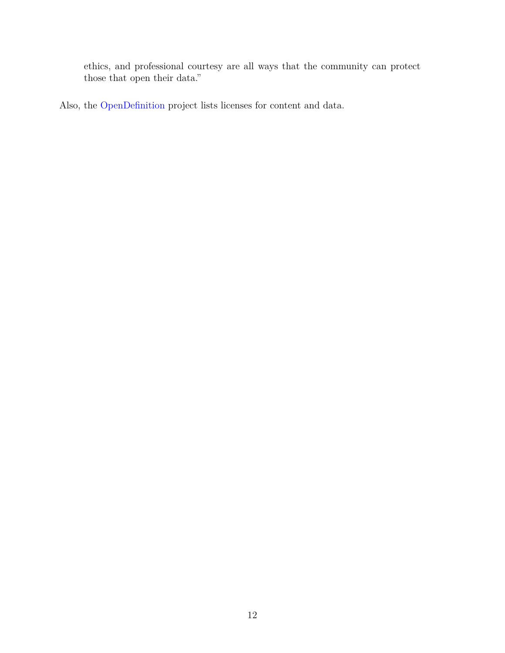ethics, and professional courtesy are all ways that the community can protect those that open their data."

<span id="page-12-0"></span>Also, the [OpenDefinition](http://opendefinition.org/licenses/) project lists licenses for content and data.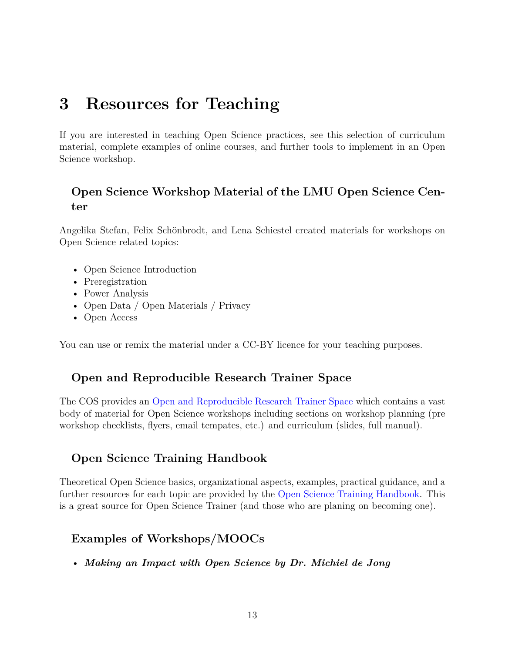# <span id="page-13-0"></span>**3 Resources for Teaching**

If you are interested in teaching Open Science practices, see this selection of curriculum material, complete examples of online courses, and further tools to implement in an Open Science workshop.

## **Open Science Workshop Material of the LMU Open Science Center**

Angelika Stefan, Felix Schönbrodt, and Lena Schiestel created materials for workshops on Open Science related topics:

- Open Science Introduction
- Preregistration
- Power Analysis
- Open Data / Open Materials / Privacy
- Open Access

You can use or remix the material under a CC-BY licence for your teaching purposes.

## **Open and Reproducible Research Trainer Space**

The COS provides an [Open and Reproducible Research Trainer Space](https://osf.io/qsb2c/) which contains a vast body of material for Open Science workshops including sections on workshop planning (pre workshop checklists, flyers, email tempates, etc.) and curriculum (slides, full manual).

## **Open Science Training Handbook**

Theoretical Open Science basics, organizational aspects, examples, practical guidance, and a further resources for each topic are provided by the [Open Science Training Handbook.](https://open-science-training-handbook.gitbooks.io/book/content/) This is a great source for Open Science Trainer (and those who are planing on becoming one).

## **Examples of Workshops/MOOCs**

• *Making an Impact with Open Science by Dr. Michiel de Jong*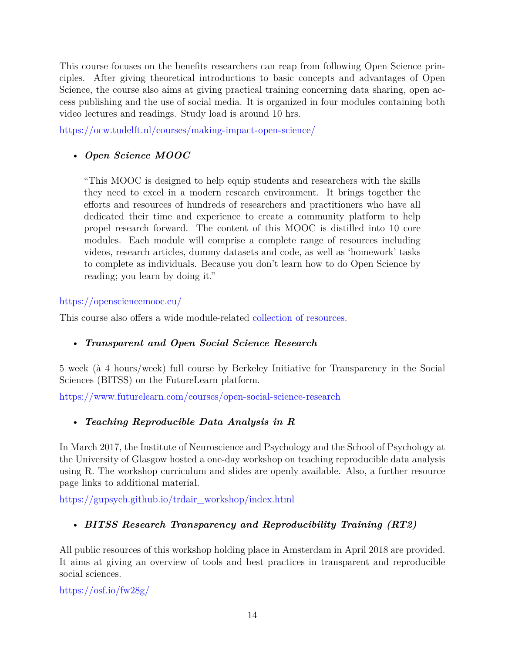This course focuses on the benefits researchers can reap from following Open Science principles. After giving theoretical introductions to basic concepts and advantages of Open Science, the course also aims at giving practical training concerning data sharing, open access publishing and the use of social media. It is organized in four modules containing both video lectures and readings. Study load is around 10 hrs.

<https://ocw.tudelft.nl/courses/making-impact-open-science/>

### • *Open Science MOOC*

"This MOOC is designed to help equip students and researchers with the skills they need to excel in a modern research environment. It brings together the efforts and resources of hundreds of researchers and practitioners who have all dedicated their time and experience to create a community platform to help propel research forward. The content of this MOOC is distilled into 10 core modules. Each module will comprise a complete range of resources including videos, research articles, dummy datasets and code, as well as 'homework' tasks to complete as individuals. Because you don't learn how to do Open Science by reading; you learn by doing it."

#### <https://opensciencemooc.eu/>

This course also offers a wide module-related [collection of resources](https://opensciencemooc.eu/open-science-resources/).

#### • *Transparent and Open Social Science Research*

5 week (à 4 hours/week) full course by Berkeley Initiative for Transparency in the Social Sciences (BITSS) on the FutureLearn platform.

<https://www.futurelearn.com/courses/open-social-science-research>

## • *Teaching Reproducible Data Analysis in R*

In March 2017, the Institute of Neuroscience and Psychology and the School of Psychology at the University of Glasgow hosted a one-day workshop on teaching reproducible data analysis using R. The workshop curriculum and slides are openly available. Also, a further resource page links to additional material.

[https://gupsych.github.io/trdair\\_workshop/index.html](https://gupsych.github.io/trdair_workshop/index.html)

#### • *BITSS Research Transparency and Reproducibility Training (RT2)*

All public resources of this workshop holding place in Amsterdam in April 2018 are provided. It aims at giving an overview of tools and best practices in transparent and reproducible social sciences.

<https://osf.io/fw28g/>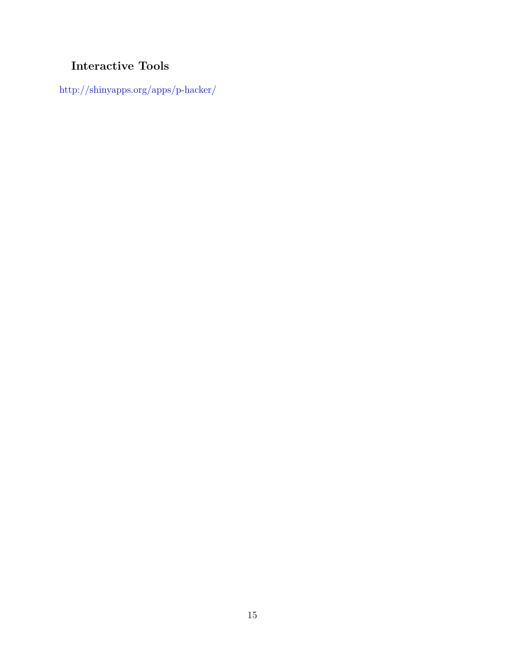## **Interactive Tools**

<span id="page-15-0"></span>[http://shinyapps.org/apps/p-hacker/](https://gupsych.github.io/trdair_workshop/index.html)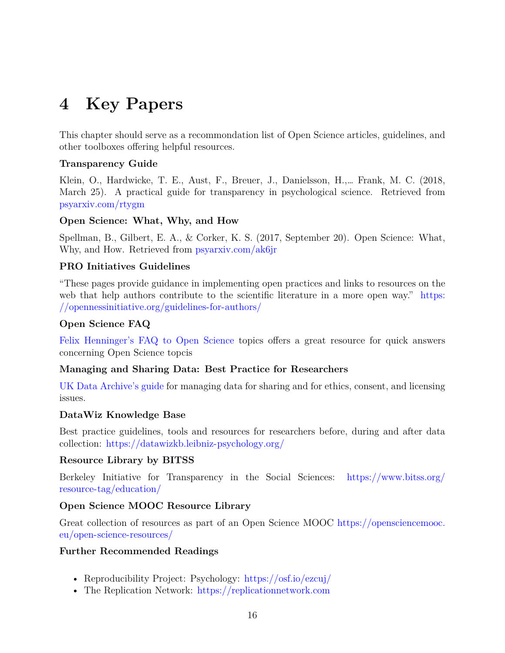# <span id="page-16-0"></span>**4 Key Papers**

This chapter should serve as a recommondation list of Open Science articles, guidelines, and other toolboxes offering helpful resources.

#### **Transparency Guide**

Klein, O., Hardwicke, T. E., Aust, F., Breuer, J., Danielsson, H.,… Frank, M. C. (2018, March 25). A practical guide for transparency in psychological science. Retrieved from [psyarxiv.com/rtygm](http://psyarxiv.com/rtygm)

#### **Open Science: What, Why, and How**

Spellman, B., Gilbert, E. A., & Corker, K. S. (2017, September 20). Open Science: What, Why, and How. Retrieved from [psyarxiv.com/ak6jr](http://psyarxiv.com/ak6jr)

#### **PRO Initiatives Guidelines**

"These pages provide guidance in implementing open practices and links to resources on the web that help authors contribute to the scientific literature in a more open way." [https:](https://opennessinitiative.org/guidelines-for-authors/) [//opennessinitiative.org/guidelines-for-authors/](https://opennessinitiative.org/guidelines-for-authors/)

#### **Open Science FAQ**

[Felix Henninger's FAQ to Open Science](https://felixhenninger.gitbooks.io/open-science-knowledge-base/content/) topics offers a great resource for quick answers concerning Open Science topcis

#### **Managing and Sharing Data: Best Practice for Researchers**

[UK Data Archive's guide](http://www.data-archive.ac.uk/media/2894/managingsharing.pdf) for managing data for sharing and for ethics, consent, and licensing issues.

#### **DataWiz Knowledge Base**

Best practice guidelines, tools and resources for researchers before, during and after data collection: <https://datawizkb.leibniz-psychology.org/>

#### **Resource Library by BITSS**

Berkeley Initiative for Transparency in the Social Sciences: [https://www.bitss.org/](https://www.bitss.org/resource-tag/education/) [resource-tag/education/](https://www.bitss.org/resource-tag/education/)

#### **Open Science MOOC Resource Library**

Great collection of resources as part of an Open Science MOOC [https://opensciencemooc.](https://opensciencemooc.eu/open-science-resources/) [eu/open-science-resources/](https://opensciencemooc.eu/open-science-resources/)

#### **Further Recommended Readings**

- Reproducibility Project: Psychology: <https://osf.io/ezcuj/>
- The Replication Network: <https://replicationnetwork.com>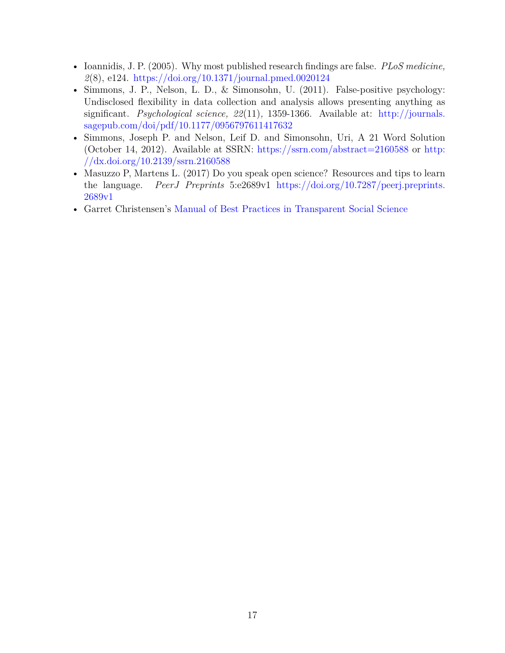- Ioannidis, J. P. (2005). Why most published research findings are false. *PLoS medicine, 2*(8), e124. <https://doi.org/10.1371/journal.pmed.0020124>
- Simmons, J. P., Nelson, L. D., & Simonsohn, U. (2011). False-positive psychology: Undisclosed flexibility in data collection and analysis allows presenting anything as significant. *Psychological science, 22*(11)*,* 1359-1366. Available at: [http://journals.](http://journals.sagepub.com/doi/pdf/10.1177/0956797611417632) [sagepub.com/doi/pdf/10.1177/0956797611417632](http://journals.sagepub.com/doi/pdf/10.1177/0956797611417632)
- Simmons, Joseph P. and Nelson, Leif D. and Simonsohn, Uri, A 21 Word Solution (October 14, 2012). Available at SSRN: <https://ssrn.com/abstract=2160588> or [http:](http://dx.doi.org/10.2139/ssrn.2160588) [//dx.doi.org/10.2139/ssrn.2160588](http://dx.doi.org/10.2139/ssrn.2160588)
- Masuzzo P, Martens L. (2017) Do you speak open science? Resources and tips to learn the language. *PeerJ Preprints* 5:e2689v1 [https://doi.org/10.7287/peerj.preprints.](https://doi.org/10.7287/peerj.preprints.2689v1) [2689v1](https://doi.org/10.7287/peerj.preprints.2689v1)
- <span id="page-17-0"></span>• Garret Christensen's [Manual of Best Practices in Transparent Social Science](https://github.com/garretchristensen/BestPracticesManual/blob/master/Manual.pdf)